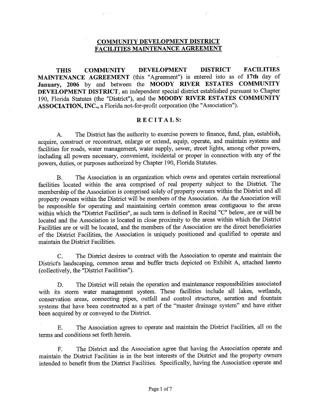## **COMMUNITY DEVELOPMENT DISTRICT FACILITIES MAINTENANCE AGREEMENT**

**THIS COMMUNITY DEVELOPMENT DISTRICT FACILITIES MAINTENANCE AGREEMENT** (this "Agreement") is entered into as of **17th** day of January, 2006 by and between the **MOODY RIVER ESTATES COMMUNITY DEVELOPMENT DISTRICT,** an independent special district established pursuant to Chapter 190, Florida Statutes (the "District"), and the **MOODY RIVER ESTATES COMMUNITY ASSOCIATION, INC.,** a Florida not-for-profit corporation (the "Association").

## **RECITALS:**

A. The District has the authority to exercise powers to finance, fund, plan, establish, acquire, construct or reconstruct, enlarge or extend, equip, operate, and maintain systems and facilities for roads, water management, water supply, sewer, street lights, among other powers, including all powers necessary, convenient, incidental or proper in connection with any of the powers, duties, or purposes authorized by Chapter 190, Florida Statutes.

B. The Association is an organization which owns and operates certain recreational facilities located within the area comprised of real property subject to the District. The membership of the Association is comprised solely of property owners within the District and all property owners within the District will be members of the Association. As the Association will be responsible for operating and maintaining certain common areas contiguous to the areas within which the "District Facilities", as such term is defined in Recital "C" below, are or will be located and the Association is located in close proximity to the areas within which the District Facilities are or will be located, and the members of the Association are the direct beneficiaries of the District Facilities, the Association is uniquely positioned and qualified to operate and maintain the District Facilities.

C. The District desires to contract with the Association to operate and maintain the District's landscaping, common areas and buffer tracts depicted on Exhibit A, attached hereto ( collectively, the "District Facilities").

D. The District will retain the operation and maintenance responsibilities associated with its storm water management system. These facilities include all lakes, wetlands, conservation areas, connecting pipes, outfall and control structures, aeration and fountain systems that have been constructed as a part of the "master drainage system" and have either been acquired by or conveyed to the District.

E. The Association agrees to operate and maintain the District Facilities, all on the terms and conditions set forth herein.

F. The District and the Association agree that having the Association operate and maintain the District Facilities is in the best interests of the District and the property owners intended to benefit from the District Facilities. Specifically, having the Association operate and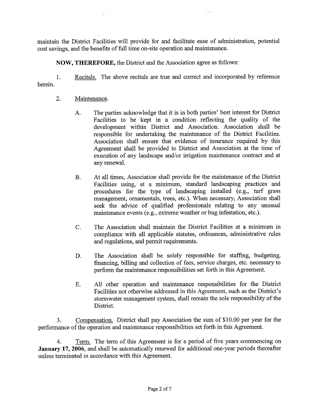maintain the District Facilities will provide for and facilitate ease of administration, potential cost savings, and the benefits of full time on-site operation and maintenance.

**NOW, THEREFORE,** the District and the Association agree as follows:

herein. ]. Recitals. The above recitals are true and correct and incorporated by reference

## 2. Maintenance.

- A. The parties acknowledge that it is in both parties' best interest for District Facilities to be kept in a condition reflecting the quality of the development within District and Association. Association shall be responsible for undertaking the maintenance of the District Facilities. Association shall ensure that evidence of insurance required by this Agreement shall be provided to District and Association at the time of execution of any landscape and/or irrigation maintenance contract and at any renewal.
- B. At all times, Association shall provide for the maintenance of the District Facilities using, at a minimum, standard landscaping practices and procedures for the type of landscaping installed (e.g., turf grass management, ornamentals, trees, etc.). When necessary, Association shall seek the advice of qualified professionals relating to any unusual maintenance events (e.g., extreme weather or bug infestation, etc.).
- C. The Association shall maintain the District Facilities at a minimum in compliance with all applicable statutes, ordinances, administrative rules and regulations, and permit requirements.
- D. The Association shall be solely responsible for staffing, budgeting, financing, billing and collection of fees, service charges, etc. necessary to perform the maintenance responsibilities set forth in this Agreement.
- E. All other operation and maintenance responsibilities for the District Facilities not otherwise addressed in this Agreement, such as the District's stonnwater management system, shall remain the sole responsibility of the District.

3. Compensation. District shall pay Association the sum of \$10.00 per year for the performance of the operation and maintenance responsibilities set forth in this Agreement.

4. Term. The term of this Agreement is for a period of five years commencing on **January 17, 2006,** and shall be automatically renewed for additional one-year periods thereafter unless terminated in accordance with this Agreement.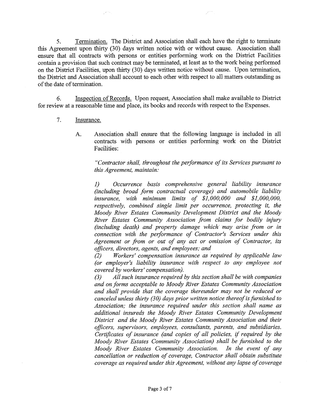5. Termination. The District and Association shall each have the right to terminate this Agreement upon thirty (30) days written notice with or without cause. Association shall ensure that all contracts with persons or entities performing work on the District Facilities contain a provision that such contract may be terminated, at least as to the work being performed on the District Facilities, upon thirty (30) days written notice without cause. Upon termination, the District and Association shall account to each other with respect to all matters outstanding as of the date of termination.

6. Inspection of Records. Upon request, Association shall make available to District for review at a reasonable time and place, its books and records with respect to the Expenses.

- 7. Insurance.
	- A. Association shall ensure that the following language is included in all contracts with persons or entities performing work on the District Facilities:

*"Contractor shall, throughout the performance of its Services pursuant to this Agreement, maintain:* 

J) *Occurrence basis comprehensive general liability insurance (including broad form contractual coverage) and automobile liability insurance, with minimum limits of \$1,000,000 and \$1,000,000, respectively, combined single limit per occurrence, protecting it, the Moody River Estates Community Development District and the Moody River Estates Community Association from claims for bodily injury (including death) and property damage which may arise from or in connection with the peiformance of Contractor's Services under this Agreement or from or out of any act or omission of Contractor, its officers, directors, agents, and employees; and* 

*(2) Workers' compensation insurance as required by applicable law (or employer's liability insurance with respect to any employee not covered by workers' compensation).* 

*(3) All such insurance required by this section shall be with companies and on forms acceptable to Moody River Estates Community Association and shall provide that the coverage thereunder may not be reduced or canceled unless thirty (30) days prior written notice thereof is furnished to Association; the insurance required under this section shall name as additional insureds the Moody River Estates Community Development District and the Moody River Estates Community Association and their officers, supervisors, employees, consultants, parents, and subsidiaries. Certificates of insurance (and copies of all policies,* if *required by the Moody River Estates Community Association) shall be furnished to the Moody River Estates Community Association. In the event of any cancellation or reduction of coverage, Contractor shall obtain substitute coverage as required under this Agreement, without any lapse of coverage*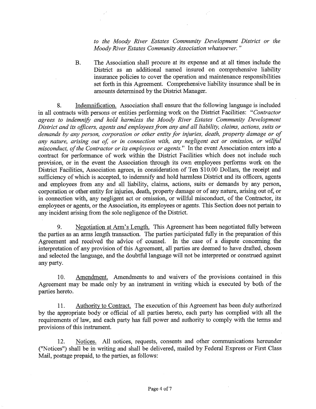*to the Moody River Estates Community Development District or the Moody River Estates Community Association whatsoever.* "

B. The Association shall procure at its expense and at all times include the District as an additional named insured on comprehensive liability insurance policies to cover the operation and maintenance responsibilities set forth in this Agreement. Comprehensive liability insurance shall be in amounts determined by the District Manager.

8. Indemnification. Association shall ensure that the following language is included in all contracts with persons or entities performing work on the District Facilities: *"Contractor agrees to indemnify and hold harmless the Moody River Estates Community Development*  District and its officers, agents and employees from any and all liability, claims, actions, suits or *demands by any person, corporation or other entity for injuries, death, property damage or of any nature, arising out of, or in connection with, any negligent act or omission, or wil[ful misconduct, of the Contractor or its employees or agents."* In the event Association enters into a contract for performance of work within the District Facilities which does not include such provision, or in the event the Association through its own employees performs work on the District Facilities, Association agrees, in consideration of Ten \$10.00 Dollars, the receipt and sufficiency of which is accepted, to indemnify and hold harmless District and its officers, agents and employees from any and all liability, claims, actions, suits or demands by any person, corporation or other entity for injuries, death, property damage or of any nature, arising out of, or in connection with, any negligent act or omission, or willful misconduct, of the Contractor, its employees or agents, or the Association, its employees or agents. This Section does not pertain to any incident arising from the sole negligence of the District.

9. Negotiation at Arm's Length. This Agreement has been negotiated fully between the parties as an arms length transaction. The parties participated fully in the preparation of this Agreement and received the advice of counsel. In the case of a dispute concerning the interpretation of any provision of this Agreement, all parties are deemed to have drafted, chosen and selected the language, and the doubtful language will not be interpreted or construed against any party.

10. Amendment. Amendments to and waivers of the provisions contained in this Agreement may be made only by an instrument in writing which is executed by both of the parties hereto.

11. Authority to Contract. The execution of this Agreement has been duly authorized by the appropriate body or official of all parties hereto, each party has complied with all the requirements of law, and each party has full power and authority to comply with the terms and provisions of this instrument.

12. Notices. All notices, requests, consents and other communications hereunder ("Notices") shall be in writing and shall be delivered, mailed by Federal Express or First Class Mail, postage prepaid, to the parties, as follows: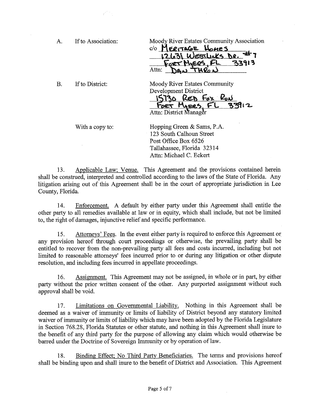| А. | If to Association: | Moody River Estates Community Association |
|----|--------------------|-------------------------------------------|
|    |                    | C/O MERITAGE HOMES                        |
|    |                    | 21.31 WESTLING DR.                        |
|    |                    | 73913                                     |
|    |                    | Attn:                                     |
|    |                    |                                           |

B. If to District:

Moody River Estates Community Development District<br>15730 RED FOX RUN  $For$   $M_{1}ex$ ,  $FL$  33

Attn: District Manager

With a copy to:

Hopping Green & Sams, P.A. 123 South Calhoun Street Post Office Box 6526 Tallahassee, Florida 32314 Attn: Michael C. Eckert

13. Applicable Law; Venue. This Agreement and the provisions contained herein shall be construed, interpreted and controlled according to the laws of the State of Florida. Any litigation arising out of this Agreement shall be in the court of appropriate jurisdiction in Lee County, Florida.

14. Enforcement. A default by either party under this Agreement shall entitle the other party to all remedies available at law or in equity, which shall include, but not be limited to, the right of damages, injunctive relief and specific performance.

15. Attorneys' Fees. In the event either party is required to enforce this Agreement or any provision hereof through court proceedings or otherwise, the prevailing party shall be entitled to recover from the non-prevailing party all fees and costs incurred, including but not limited to reasonable attorneys' fees incurred prior to or during any litigation or other dispute resolution, and including fees incurred in appellate proceedings.

16. Assignment. This Agreement may not be assigned, in whole or in part, by either party without the prior written consent of the other. Any purported assignment without such approval shall be void.

17. Limitations on Governmental Liability. Nothing in this Agreement shall be deemed as a waiver of immunity or limits of liability of District beyond any statutory limited waiver of immunity or limits of liability which may have been adopted by the Florida Legislature in Section 768.28, Florida Statutes or other statute, and nothing in this Agreement shall inure to the benefit of any third party for the purpose of allowing any claim which would otherwise be barred under the Doctrine of Sovereign lmmunity or by operation of law.

18. Binding Effect; No Third Party Beneficiaries. The terms and provisions hereof shall be binding upon and shall inure to the benefit of District and Association. This Agreement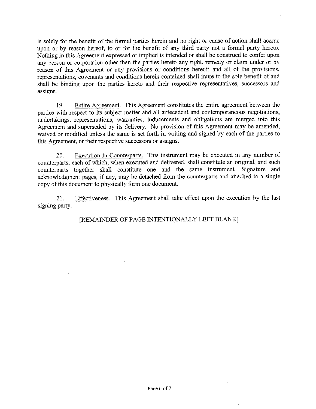is solely for the benefit of the formal parties herein and no right or cause of action shall accrue upon or by reason hereof, to or for the benefit of any third party not a formal party hereto. Nothing in this Agreement expressed or implied is intended or shall be construed to confer upon any person or corporation other than the parties hereto any right, remedy or claim under or by reason of this Agreement or any provisions or conditions hereof; and all of the provisions, representations, covenants and conditions herein contained shall inure to the sole benefit of and shall be binding upon the parties hereto and their respective representatives, successors and assigns.

19. Entire Agreement. This Agreement constitutes the entire agreement between the parties with respect to its subject matter and all antecedent and contemporaneous negotiations, undertakings, representations, warranties, inducements and obligations are merged into this Agreement and superseded by its delivery. No provision of this Agreement may be amended, waived or modified unless the same is set forth in writing and signed by each of the parties to this Agreement, or their respective successors or assigns.

20. Execution in Counterparts. This instrument may be executed in any number of counterparts, each of which, when executed and delivered, shall constitute an original, and such counterparts together shall constitute one and the same instrument. Signature and acknowledgment pages, if any, may be detached from the counterparts and attached to a single copy of this document to physically form one document.

21. signing party. Effectiveness. This Agreement shall take effect upon the execution by the last

[REMAINDER OF PAGE INTENTIONALLY LEFT BLANK]